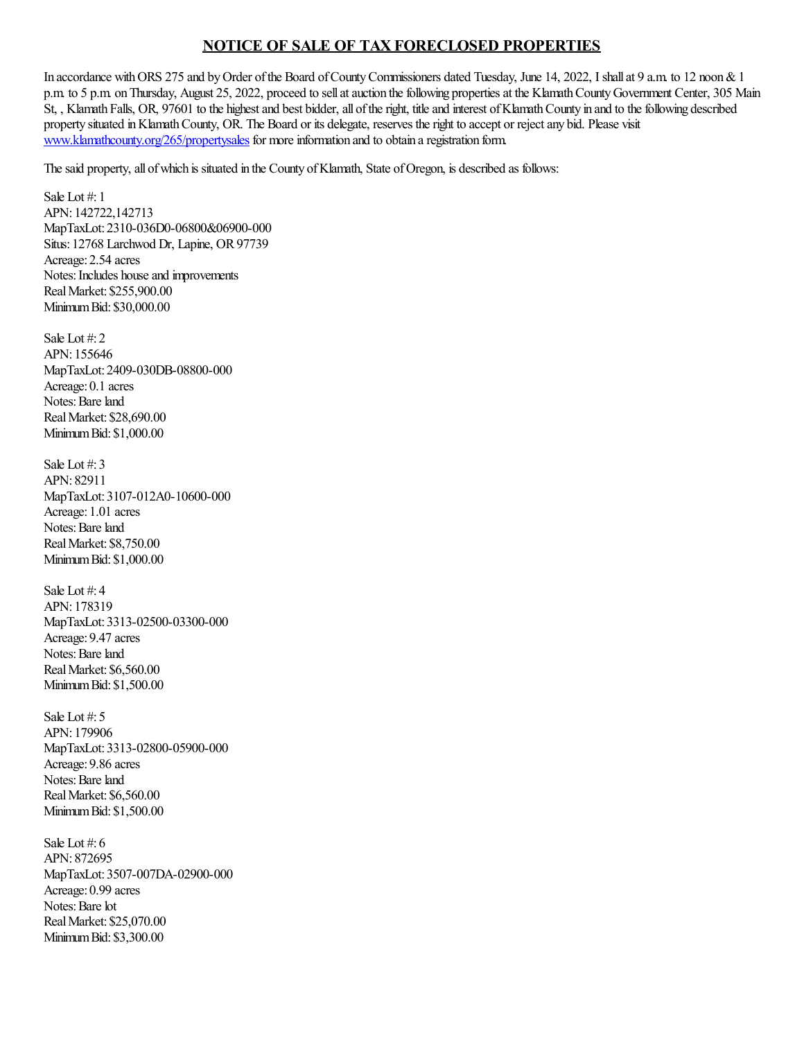## **NOTICE OF SALE OF TAX FORECLOSED PROPERTIES**

In accordance with ORS 275 and by Order of the Board of County Commissioners dated Tuesday, June 14, 2022, I shall at 9 a.m. to 12 noon & 1 p.m. to 5 p.m. on Thursday, August 25, 2022, proceed to sell at auction the following properties at the Klamath County Government Center, 305 Main St, , Klamath Falls, OR, 97601 to the highest and best bidder, all of the right, title and interest of Klamath County in and to the following described property situated inKlamathCounty, OR. The Board or its delegate, reserves theright to accept or rejectany bid. Please visit [www.klamathcounty.org/265/propertysales](http://www.klamathcounty.org/265/propertysales) for more information and to obtain a registration form.

The said property, all of which is situated in the County of Klamath, State of Oregon, is described as follows:

Sale Lot #: 1 APN: 142722,142713 MapTaxLot: 2310-036D0-06800&06900-000 Situs: 12768 Larchwod Dr, Lapine, OR 97739 Acreage: 2.54 acres Notes: Includes house and improvements RealMarket: \$255,900.00 MinimumBid: \$30,000.00

Sale Lot  $\#$  2. APN: 155646 MapTaxLot: 2409-030DB-08800-000 Acreage: 0.1 acres Notes: Bare land RealMarket: \$28,690.00 MinimumBid: \$1,000.00

Sale Lot #: 3 APN: 82911 MapTaxLot: 3107-012A0-10600-000 Acreage: 1.01 acres Notes: Bare land RealMarket: \$8,750.00 MinimumBid: \$1,000.00

Sale Lot #: 4 APN: 178319 MapTaxLot: 3313-02500-03300-000 Acreage: 9.47 acres Notes: Bare land RealMarket: \$6,560.00 MinimumBid: \$1,500.00

Sale Lot #: 5 APN: 179906 MapTaxLot: 3313-02800-05900-000 Acreage: 9.86 acres Notes: Bare land RealMarket: \$6,560.00 MinimumBid: \$1,500.00

Sale Lot #: 6 APN: 872695 MapTaxLot: 3507-007DA-02900-000 Acreage: 0.99 acres Notes: Bare lot RealMarket: \$25,070.00 MinimumBid: \$3,300.00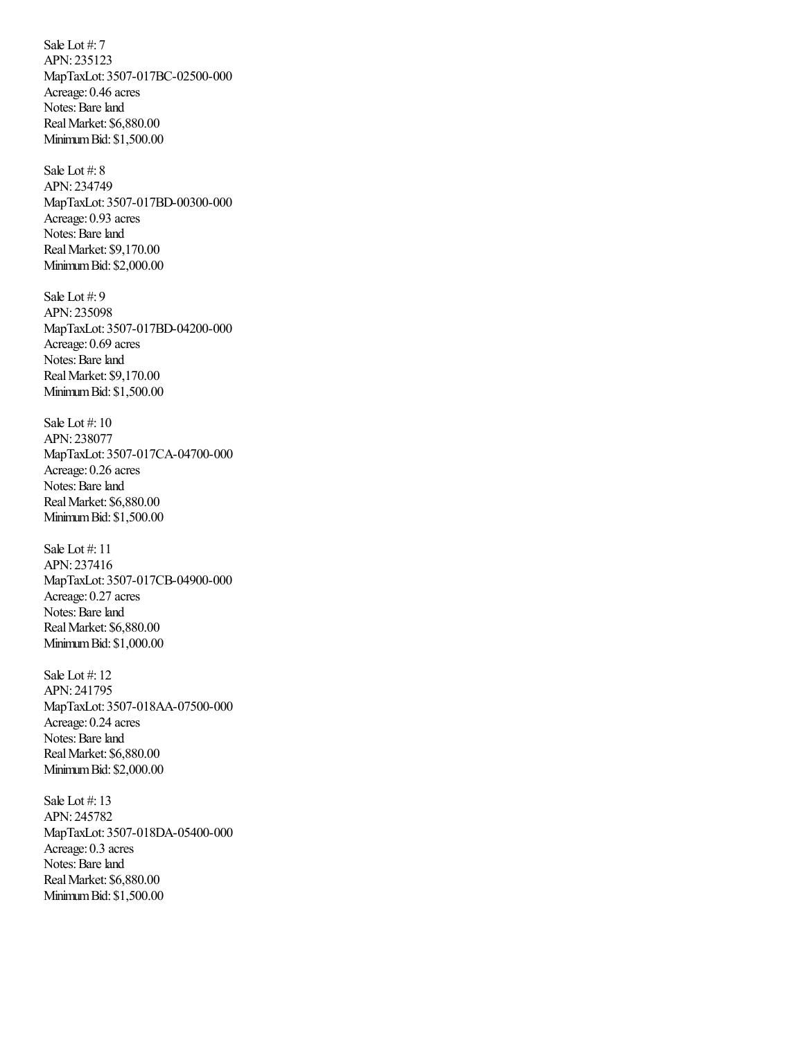Sale Lot #: 7 APN: 235123 MapTaxLot: 3507-017BC-02500-000 Acreage: 0.46 acres Notes: Bare land RealMarket: \$6,880.00 MinimumBid: \$1,500.00

Sale Lot #: 8 APN: 234749 MapTaxLot: 3507-017BD-00300-000 Acreage: 0.93 acres Notes: Bare land RealMarket: \$9,170.00 MinimumBid: \$2,000.00

Sale Lot #: 9 APN: 235098 MapTaxLot: 3507-017BD-04200-000 Acreage: 0.69 acres Notes: Bare land RealMarket: \$9,170.00 MinimumBid: \$1,500.00

Sale Lot #: 10 APN: 238077 MapTaxLot: 3507-017CA-04700-000 Acreage: 0.26 acres Notes: Bare land RealMarket: \$6,880.00 MinimumBid: \$1,500.00

Sale Lot #: 11 APN: 237416 MapTaxLot: 3507-017CB-04900-000 Acreage: 0.27 acres Notes: Bare land RealMarket: \$6,880.00 MinimumBid: \$1,000.00

Sale Lot #: 12 APN: 241795 MapTaxLot: 3507-018AA-07500-000 Acreage: 0.24 acres Notes: Bare land RealMarket: \$6,880.00 MinimumBid: \$2,000.00

Sale Lot #: 13 APN: 245782 MapTaxLot: 3507-018DA-05400-000 Acreage: 0.3 acres Notes: Bare land RealMarket: \$6,880.00 MinimumBid: \$1,500.00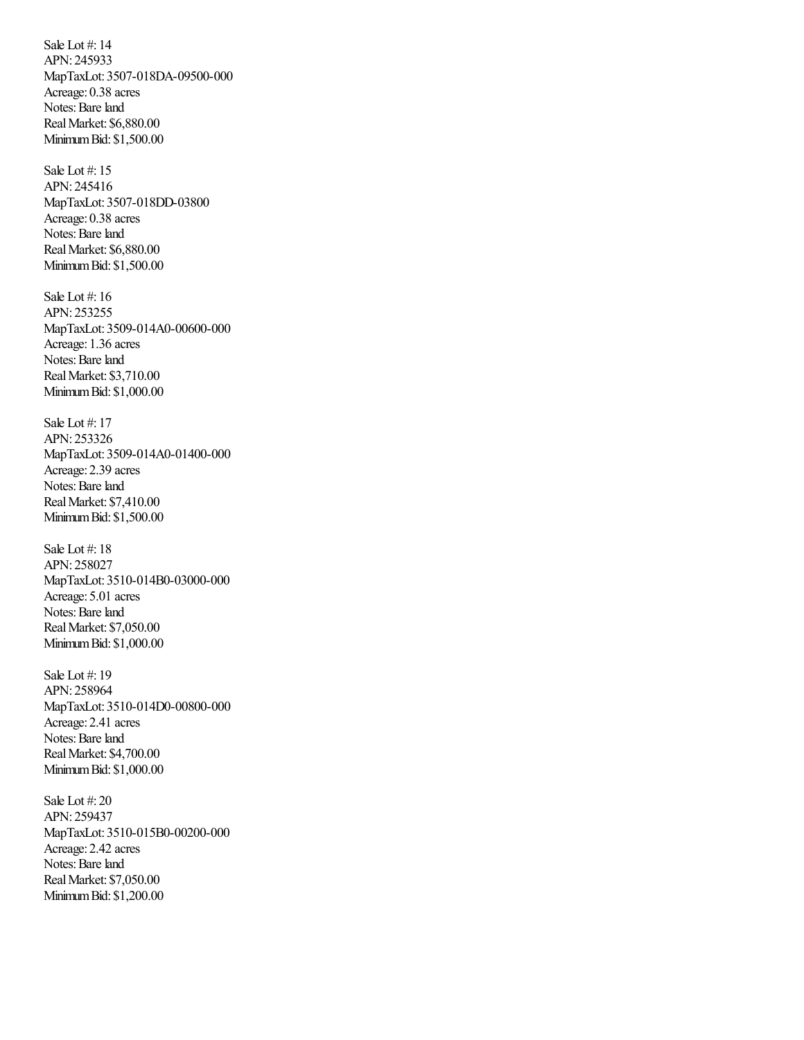Sale Lot #: 14 APN: 245933 MapTaxLot: 3507-018DA-09500-000 Acreage: 0.38 acres Notes: Bare land RealMarket: \$6,880.00 MinimumBid: \$1,500.00

Sale Lot #: 15 APN: 245416 MapTaxLot: 3507-018DD-03800 Acreage: 0.38 acres Notes: Bare land RealMarket: \$6,880.00 MinimumBid: \$1,500.00

Sale Lot #: 16 APN: 253255 MapTaxLot: 3509-014A0-00600-000 Acreage: 1.36 acres Notes: Bare land RealMarket: \$3,710.00 MinimumBid: \$1,000.00

Sale Lot #: 17 APN: 253326 MapTaxLot: 3509-014A0-01400-000 Acreage: 2.39 acres Notes: Bare land RealMarket: \$7,410.00 MinimumBid: \$1,500.00

Sale Lot #: 18 APN: 258027 MapTaxLot: 3510-014B0-03000-000 Acreage: 5.01 acres Notes: Bare land RealMarket: \$7,050.00 MinimumBid: \$1,000.00

Sale Lot #: 19 APN: 258964 MapTaxLot: 3510-014D0-00800-000 Acreage: 2.41 acres Notes: Bare land RealMarket: \$4,700.00 MinimumBid: \$1,000.00

Sale Lot #: 20 APN: 259437 MapTaxLot: 3510-015B0-00200-000 Acreage: 2.42 acres Notes: Bare land RealMarket: \$7,050.00 MinimumBid: \$1,200.00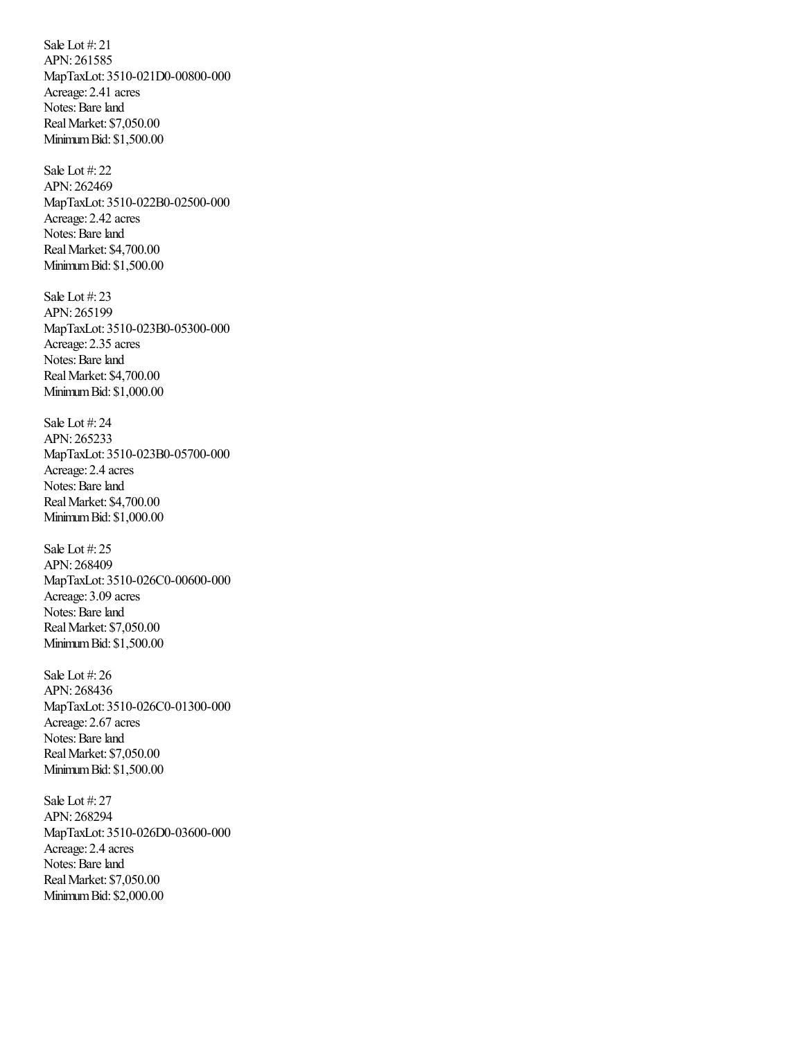Sale Lot #: 21 APN: 261585 MapTaxLot: 3510-021D0-00800-000 Acreage: 2.41 acres Notes: Bare land RealMarket: \$7,050.00 MinimumBid: \$1,500.00

Sale Lot #: 22 APN: 262469 MapTaxLot: 3510-022B0-02500-000 Acreage: 2.42 acres Notes: Bare land RealMarket: \$4,700.00 MinimumBid: \$1,500.00

Sale Lot #: 23 APN: 265199 MapTaxLot: 3510-023B0-05300-000 Acreage: 2.35 acres Notes: Bare land RealMarket: \$4,700.00 MinimumBid: \$1,000.00

Sale Lot #: 24 APN: 265233 MapTaxLot: 3510-023B0-05700-000 Acreage: 2.4 acres Notes: Bare land RealMarket: \$4,700.00 MinimumBid: \$1,000.00

Sale Lot #: 25 APN: 268409 MapTaxLot: 3510-026C0-00600-000 Acreage: 3.09 acres Notes: Bare land RealMarket: \$7,050.00 MinimumBid: \$1,500.00

Sale Lot #: 26 APN: 268436 MapTaxLot: 3510-026C0-01300-000 Acreage: 2.67 acres Notes: Bare land RealMarket: \$7,050.00 MinimumBid: \$1,500.00

Sale Lot #: 27 APN: 268294 MapTaxLot: 3510-026D0-03600-000 Acreage: 2.4 acres Notes: Bare land RealMarket: \$7,050.00 MinimumBid: \$2,000.00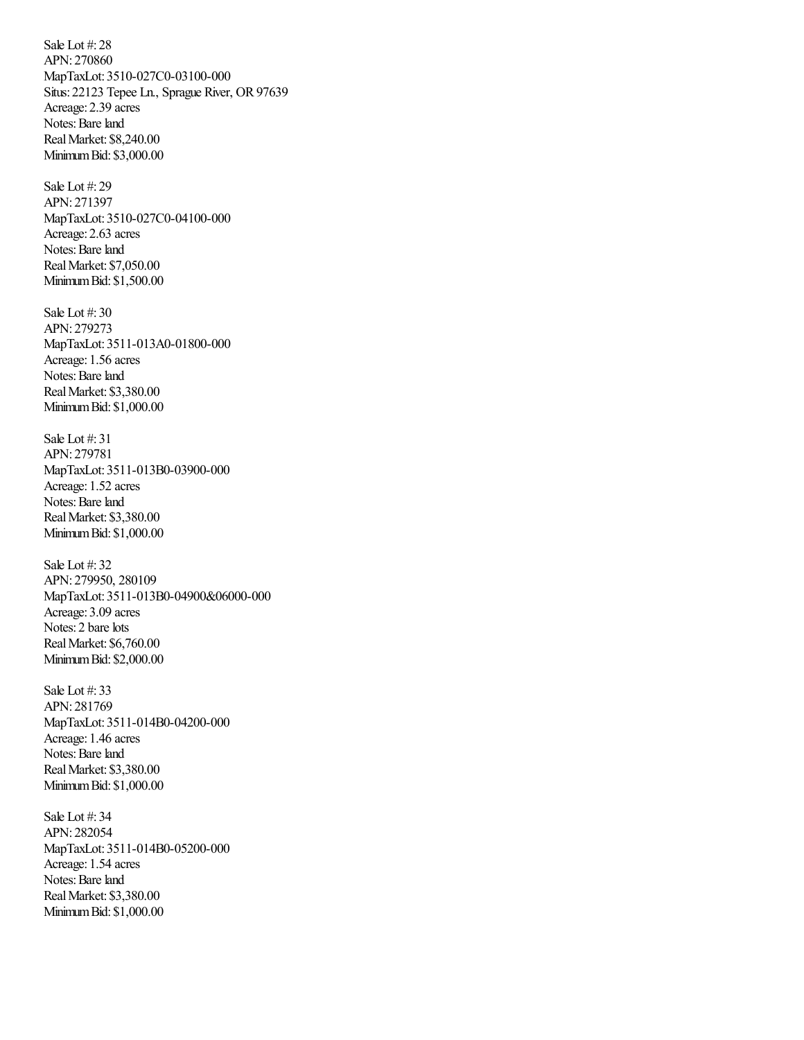Sale Lot #: 28 APN: 270860 MapTaxLot: 3510-027C0-03100-000 Situs: 22123 Tepee Ln., Sprague River, OR97639 Acreage: 2.39 acres Notes: Bare land RealMarket: \$8,240.00 MinimumBid: \$3,000.00

Sale Lot #: 29 APN: 271397 MapTaxLot: 3510-027C0-04100-000 Acreage: 2.63 acres Notes: Bare land RealMarket: \$7,050.00 MinimumBid: \$1,500.00

Sale Lot #: 30 APN: 279273 MapTaxLot: 3511-013A0-01800-000 Acreage: 1.56 acres Notes: Bare land RealMarket: \$3,380.00 MinimumBid: \$1,000.00

Sale Lot #: 31 APN: 279781 MapTaxLot: 3511-013B0-03900-000 Acreage: 1.52 acres Notes: Bare land RealMarket: \$3,380.00 MinimumBid: \$1,000.00

Sale Lot #: 32 APN: 279950, 280109 MapTaxLot: 3511-013B0-04900&06000-000 Acreage: 3.09 acres Notes: 2 bare lots RealMarket: \$6,760.00 MinimumBid: \$2,000.00

Sale Lot #: 33 APN: 281769 MapTaxLot: 3511-014B0-04200-000 Acreage: 1.46 acres Notes: Bare land RealMarket: \$3,380.00 MinimumBid: \$1,000.00

Sale Lot #: 34 APN: 282054 MapTaxLot: 3511-014B0-05200-000 Acreage: 1.54 acres Notes: Bare land RealMarket: \$3,380.00 MinimumBid: \$1,000.00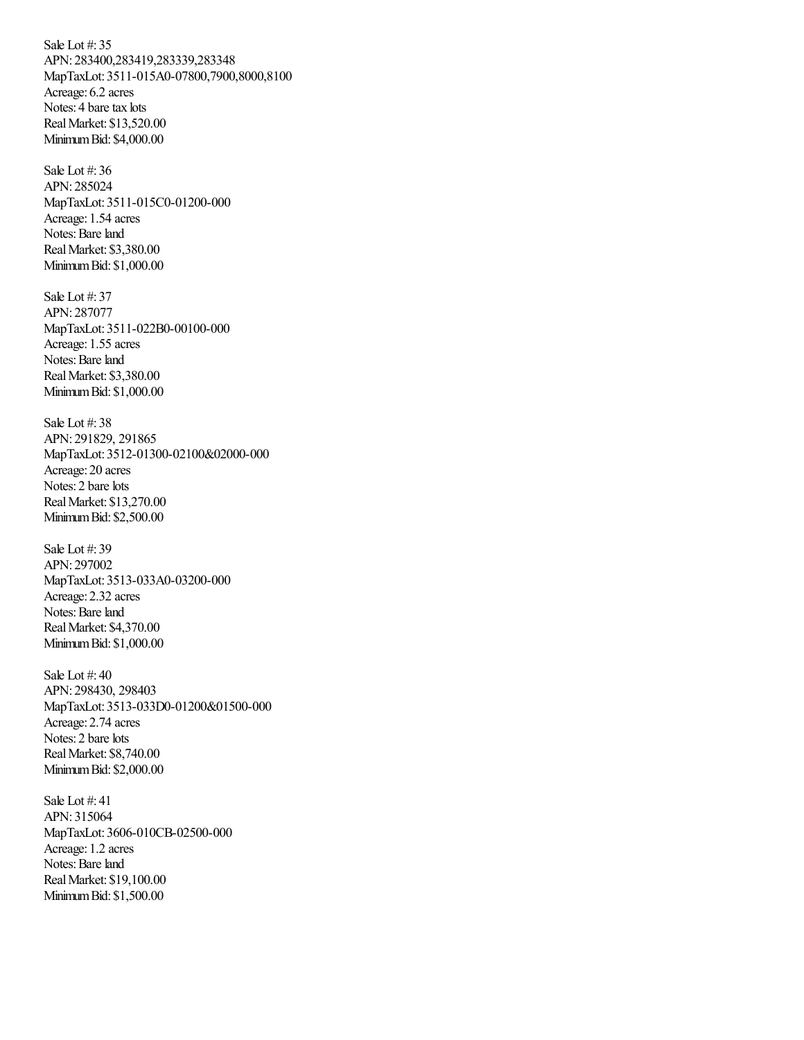Sale Lot #: 35 APN: 283400,283419,283339,283348 MapTaxLot: 3511-015A0-07800,7900,8000,8100 Acreage: 6.2 acres Notes: 4 bare tax lots RealMarket: \$13,520.00 MinimumBid: \$4,000.00

Sale Lot #: 36 APN: 285024 MapTaxLot: 3511-015C0-01200-000 Acreage: 1.54 acres Notes: Bare land RealMarket: \$3,380.00 MinimumBid: \$1,000.00

Sale Lot #: 37 APN: 287077 MapTaxLot: 3511-022B0-00100-000 Acreage: 1.55 acres Notes: Bare land RealMarket: \$3,380.00 MinimumBid: \$1,000.00

Sale Lot #: 38 APN: 291829, 291865 MapTaxLot: 3512-01300-02100&02000-000 Acreage: 20 acres Notes: 2 bare lots RealMarket: \$13,270.00 MinimumBid: \$2,500.00

Sale Lot #: 39 APN: 297002 MapTaxLot: 3513-033A0-03200-000 Acreage: 2.32 acres Notes: Bare land RealMarket: \$4,370.00 MinimumBid: \$1,000.00

Sale Lot #: 40 APN: 298430, 298403 MapTaxLot: 3513-033D0-01200&01500-000 Acreage: 2.74 acres Notes: 2 bare lots RealMarket: \$8,740.00 MinimumBid: \$2,000.00

Sale Lot #: 41 APN: 315064 MapTaxLot: 3606-010CB-02500-000 Acreage: 1.2 acres Notes: Bare land RealMarket: \$19,100.00 MinimumBid: \$1,500.00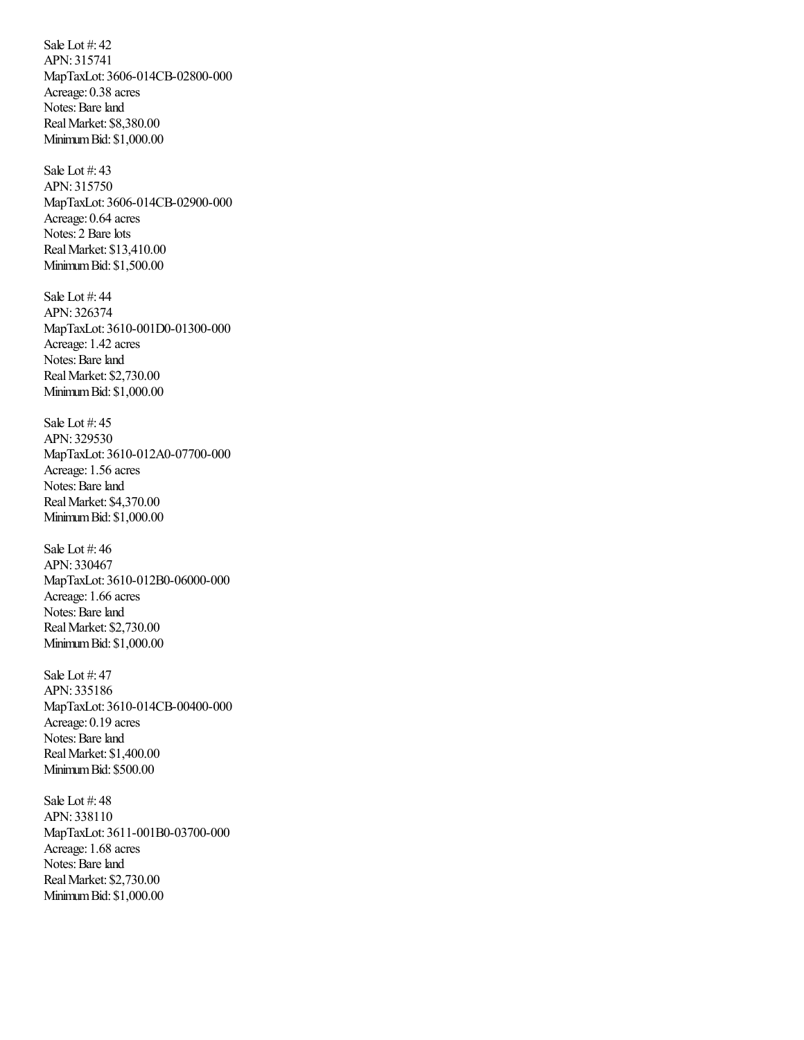Sale Lot #: 42 APN: 315741 MapTaxLot: 3606-014CB-02800-000 Acreage: 0.38 acres Notes: Bare land RealMarket: \$8,380.00 MinimumBid: \$1,000.00

Sale Lot #: 43 APN: 315750 MapTaxLot: 3606-014CB-02900-000 Acreage: 0.64 acres Notes: 2 Bare lots RealMarket: \$13,410.00 MinimumBid: \$1,500.00

Sale Lot #: 44 APN: 326374 MapTaxLot: 3610-001D0-01300-000 Acreage: 1.42 acres Notes: Bare land RealMarket: \$2,730.00 MinimumBid: \$1,000.00

Sale Lot #: 45 APN: 329530 MapTaxLot: 3610-012A0-07700-000 Acreage: 1.56 acres Notes: Bare land RealMarket: \$4,370.00 MinimumBid: \$1,000.00

Sale Lot #: 46 APN: 330467 MapTaxLot: 3610-012B0-06000-000 Acreage: 1.66 acres Notes: Bare land RealMarket: \$2,730.00 MinimumBid: \$1,000.00

Sale Lot #: 47 APN: 335186 MapTaxLot: 3610-014CB-00400-000 Acreage: 0.19 acres Notes: Bare land RealMarket: \$1,400.00 MinimumBid: \$500.00

Sale Lot #: 48 APN: 338110 MapTaxLot: 3611-001B0-03700-000 Acreage: 1.68 acres Notes: Bare land RealMarket: \$2,730.00 MinimumBid: \$1,000.00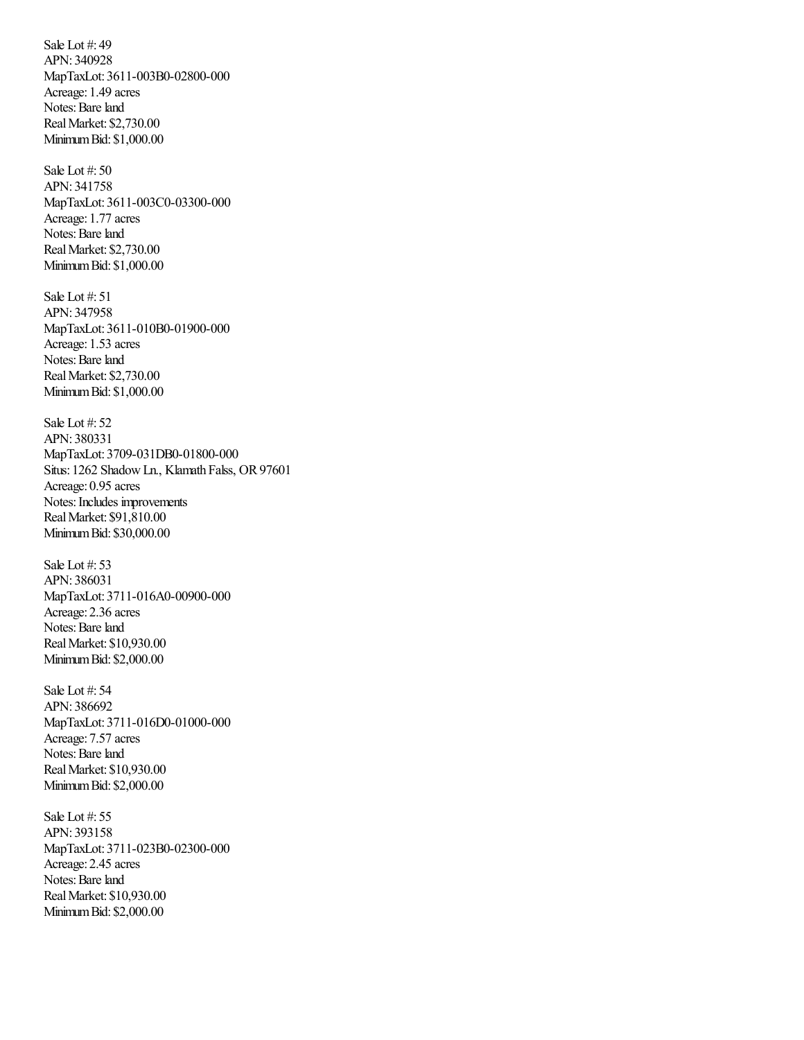Sale Lot #: 49 APN: 340928 MapTaxLot: 3611-003B0-02800-000 Acreage: 1.49 acres Notes: Bare land RealMarket: \$2,730.00 MinimumBid: \$1,000.00

Sale Lot #: 50 APN: 341758 MapTaxLot: 3611-003C0-03300-000 Acreage: 1.77 acres Notes: Bare land RealMarket: \$2,730.00 MinimumBid: \$1,000.00

Sale Lot #: 51 APN: 347958 MapTaxLot: 3611-010B0-01900-000 Acreage: 1.53 acres Notes: Bare land RealMarket: \$2,730.00 MinimumBid: \$1,000.00

Sale Lot #: 52 APN: 380331 MapTaxLot: 3709-031DB0-01800-000 Situs: 1262 Shadow Ln., Klamath Falss, OR 97601 Acreage: 0.95 acres Notes: Includes improvements RealMarket: \$91,810.00 MinimumBid: \$30,000.00

Sale Lot #: 53 APN: 386031 MapTaxLot: 3711-016A0-00900-000 Acreage: 2.36 acres Notes: Bare land RealMarket: \$10,930.00 MinimumBid: \$2,000.00

Sale Lot #: 54 APN: 386692 MapTaxLot: 3711-016D0-01000-000 Acreage: 7.57 acres Notes: Bare land RealMarket: \$10,930.00 MinimumBid: \$2,000.00

Sale Lot #: 55 APN: 393158 MapTaxLot: 3711-023B0-02300-000 Acreage: 2.45 acres Notes: Bare land RealMarket: \$10,930.00 MinimumBid: \$2,000.00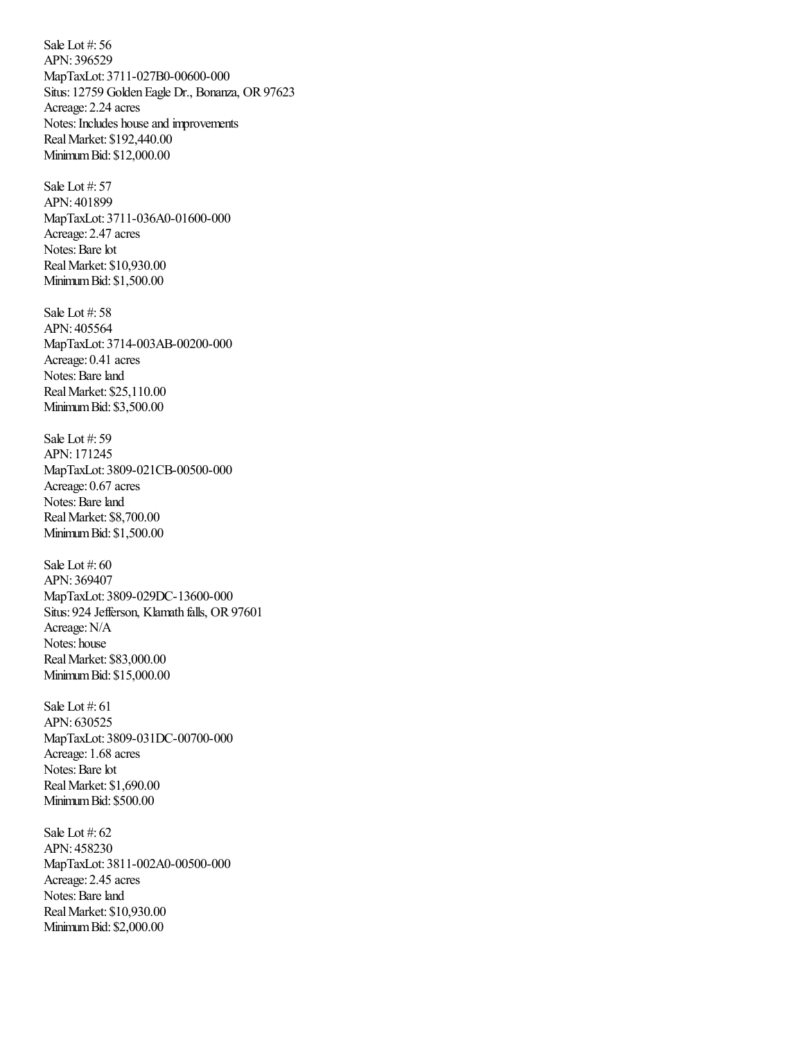Sale Lot #: 56 APN: 396529 MapTaxLot: 3711-027B0-00600-000 Situs: 12759 Golden Eagle Dr., Bonanza, OR 97623 Acreage: 2.24 acres Notes: Includes house and improvements RealMarket: \$192,440.00 MinimumBid: \$12,000.00

Sale Lot #: 57 APN: 401899 MapTaxLot: 3711-036A0-01600-000 Acreage: 2.47 acres Notes: Bare lot RealMarket: \$10,930.00 MinimumBid: \$1,500.00

Sale Lot #: 58 APN: 405564 MapTaxLot: 3714-003AB-00200-000 Acreage: 0.41 acres Notes: Bare land RealMarket: \$25,110.00 MinimumBid: \$3,500.00

Sale Lot #: 59 APN: 171245 MapTaxLot: 3809-021CB-00500-000 Acreage: 0.67 acres Notes: Bare land RealMarket: \$8,700.00 MinimumBid: \$1,500.00

Sale Lot #: 60 APN: 369407 MapTaxLot: 3809-029DC-13600-000 Situs: 924 Jefferson, Klamath falls, OR 97601 Acreage: N/A Notes: house RealMarket: \$83,000.00 MinimumBid: \$15,000.00

Sale Lot #: 61 APN: 630525 MapTaxLot: 3809-031DC-00700-000 Acreage: 1.68 acres Notes: Bare lot RealMarket: \$1,690.00 MinimumBid: \$500.00

Sale Lot #: 62 APN: 458230 MapTaxLot: 3811-002A0-00500-000 Acreage: 2.45 acres Notes: Bare land RealMarket: \$10,930.00 MinimumBid: \$2,000.00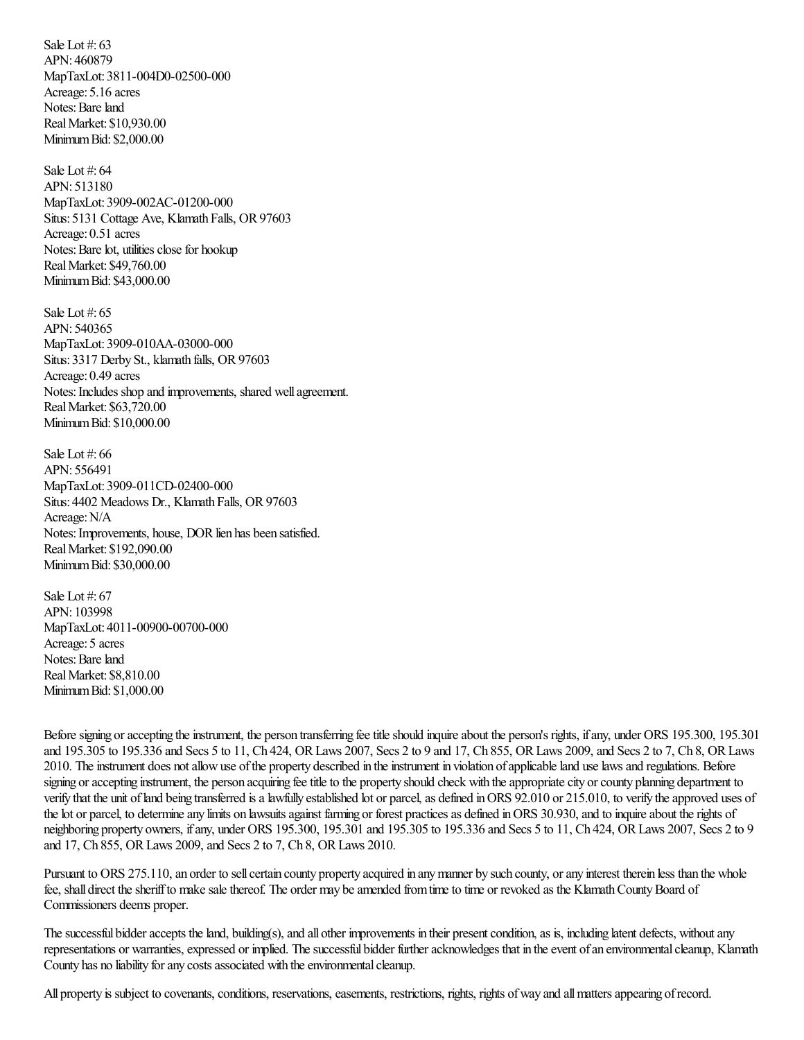Sale Lot #: 63 APN: 460879 MapTaxLot: 3811-004D0-02500-000 Acreage: 5.16 acres Notes: Bare land RealMarket: \$10,930.00 MinimumBid: \$2,000.00

Sale Lot #: 64 APN: 513180 MapTaxLot: 3909-002AC-01200-000 Situs: 5131 Cottage Ave, Klamath Falls, OR97603 Acreage: 0.51 acres Notes: Bare lot, utilities close for hookup RealMarket: \$49,760.00 MinimumBid: \$43,000.00

Sale Lot #: 65 APN: 540365 MapTaxLot: 3909-010AA-03000-000 Situs: 3317 Derby St., klamath falls, OR 97603 Acreage: 0.49 acres Notes: Includes shop and improvements, shared well agreement. RealMarket: \$63,720.00 MinimumBid: \$10,000.00

Sale Lot #: 66 APN: 556491 MapTaxLot: 3909-011CD-02400-000 Situs: 4402 Meadows Dr., Klamath Falls, OR 97603 Acreage: N/A Notes: Improvements, house, DOR lien has been satisfied. RealMarket: \$192,090.00 MinimumBid: \$30,000.00

Sale Lot #: 67 APN: 103998 MapTaxLot: 4011-00900-00700-000 Acreage: 5 acres Notes: Bare land RealMarket: \$8,810.00 MinimumBid: \$1,000.00

Before signing or accepting the instrument, the person transferring fee title should inquire about the person's rights, if any, under ORS 195.300, 195.301 and 195.305 to 195.336 and Secs 5 to 11, Ch 424, ORLaws 2007, Secs 2 to 9 and 17, Ch 855, ORLaws 2009,and Secs 2 to 7, Ch 8, ORLaws 2010. Theinstrument does notallowuse ofthe property described in theinstrument in violation ofapplicableland uselawsand regulations. Before signing or accepting instrument, the person acquiring fee title to the property should check with the appropriate city or county planning department to verify that the unit of land being transferred is a lawfully established lot or parcel, as defined in ORS 92.010 or 215.010, to verify the approved uses of the lot or parcel, to determine any limits on lawsuits against farming or forest practices as defined in ORS 30.930, and to inquire about the rights of neighboring property owners, ifany, under ORS 195.300, 195.301 and 195.305 to 195.336 and Secs 5 to 11, Ch 424, ORLaws 2007, Secs 2 to 9 and 17, Ch 855, ORLaws 2009,and Secs 2 to 7, Ch 8, ORLaws 2010.

Pursuant to ORS 275.110, an order to sell certain county property acquired in any manner by such county, or any interest therein less than the whole fee, shall direct the sheriff to make sale thereof. The order may be amended from time to time or revoked as the Klamath County Board of Commissioners deems proper.

The successful bidder accepts the land, building(s), and all other improvements in their present condition, as is, including latent defects, without any representations or warranties, expressed or implied. The successful bidder further acknowledges that in the event of an environmental cleanup, Klamath County has no liability for any costs associated with the environmental cleanup.

All property is subject to covenants, conditions, reservations, easements, restrictions, rights, rights of way and all matters appearing of record.